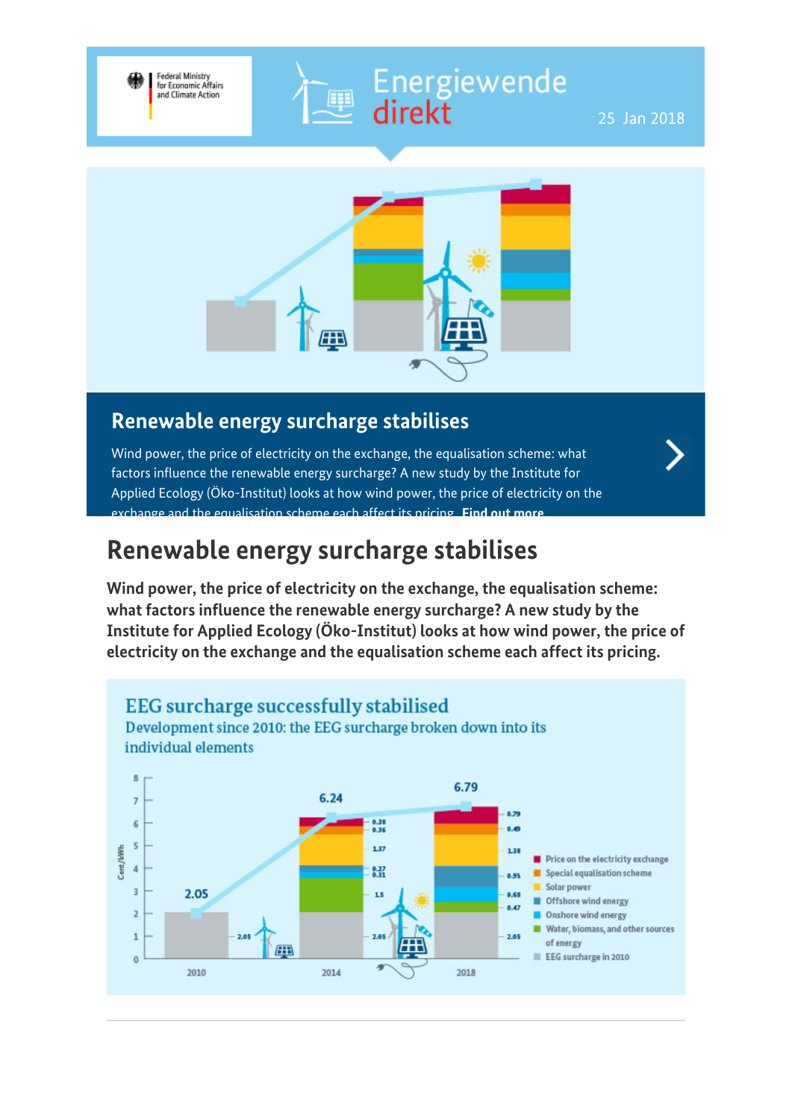# Energiewende<br>direkt



.<br>Epi

### **Renewable energy surcharge stabilises**

Federal Ministry<br>for Economic Affairs<br>and Climate Action

Wind power, the price of electricity on the exchange, the equalisation scheme: what factors influence the renewable energy surcharge? A new study by the Institute for Applied Ecology (Öko-Institut) looks at how wind power, the price of electricity on the exchange and the equalisation scheme each affect its pricing. **[Find out more](https://www.bmwi-energiewende.de/EWD/Redaktion/EN/Newsletter/2018/01/Meldung/topthema.html)**

### **Renewable energy surcharge stabilises**

**Wind power, the price of electricity on the exchange, the equalisation scheme: what factors influence the renewable energy surcharge? A new study by the Institute for Applied Ecology (Öko-Institut) looks at how wind power, the price of electricity on the exchange and the equalisation scheme each affect its pricing.**

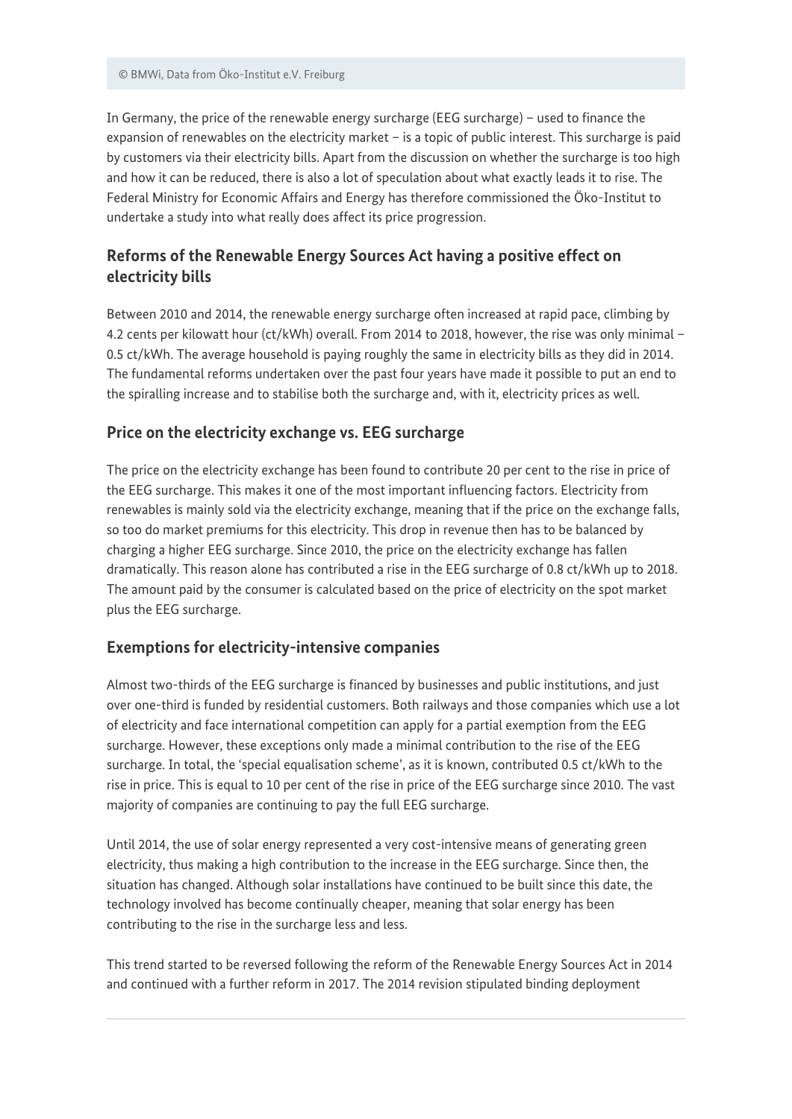In Germany, the price of the renewable energy surcharge (EEG surcharge) – used to finance the expansion of renewables on the electricity market – is a topic of public interest. This surcharge is paid by customers via their electricity bills. Apart from the discussion on whether the surcharge is too high and how it can be reduced, there is also a lot of speculation about what exactly leads it to rise. The Federal Ministry for Economic Affairs and Energy has therefore commissioned the Öko-Institut to undertake a study into what really does affect its price progression.

#### **Reforms of the Renewable Energy Sources Act having a positive effect on electricity bills**

Between 2010 and 2014, the renewable energy surcharge often increased at rapid pace, climbing by 4.2 cents per kilowatt hour (ct/kWh) overall. From 2014 to 2018, however, the rise was only minimal – 0.5 ct/kWh. The average household is paying roughly the same in electricity bills as they did in 2014. The fundamental reforms undertaken over the past four years have made it possible to put an end to the spiralling increase and to stabilise both the surcharge and, with it, electricity prices as well.

#### **Price on the electricity exchange vs. EEG surcharge**

The price on the electricity exchange has been found to contribute 20 per cent to the rise in price of the EEG surcharge. This makes it one of the most important influencing factors. Electricity from renewables is mainly sold via the electricity exchange, meaning that if the price on the exchange falls, so too do market premiums for this electricity. This drop in revenue then has to be balanced by charging a higher EEG surcharge. Since 2010, the price on the electricity exchange has fallen dramatically. This reason alone has contributed a rise in the EEG surcharge of 0.8 ct/kWh up to 2018. The amount paid by the consumer is calculated based on the price of electricity on the spot market plus the EEG surcharge.

#### **Exemptions for electricity-intensive companies**

Almost two-thirds of the EEG surcharge is financed by businesses and public institutions, and just over one-third is funded by residential customers. Both railways and those companies which use a lot of electricity and face international competition can apply for a partial exemption from the EEG surcharge. However, these exceptions only made a minimal contribution to the rise of the EEG surcharge. In total, the 'special equalisation scheme', as it is known, contributed 0.5 ct/kWh to the rise in price. This is equal to 10 per cent of the rise in price of the EEG surcharge since 2010. The vast majority of companies are continuing to pay the full EEG surcharge.

Until 2014, the use of solar energy represented a very cost-intensive means of generating green electricity, thus making a high contribution to the increase in the EEG surcharge. Since then, the situation has changed. Although solar installations have continued to be built since this date, the technology involved has become continually cheaper, meaning that solar energy has been contributing to the rise in the surcharge less and less.

This trend started to be reversed following the reform of the Renewable Energy Sources Act in 2014 and continued with a further reform in 2017. The 2014 revision stipulated binding deployment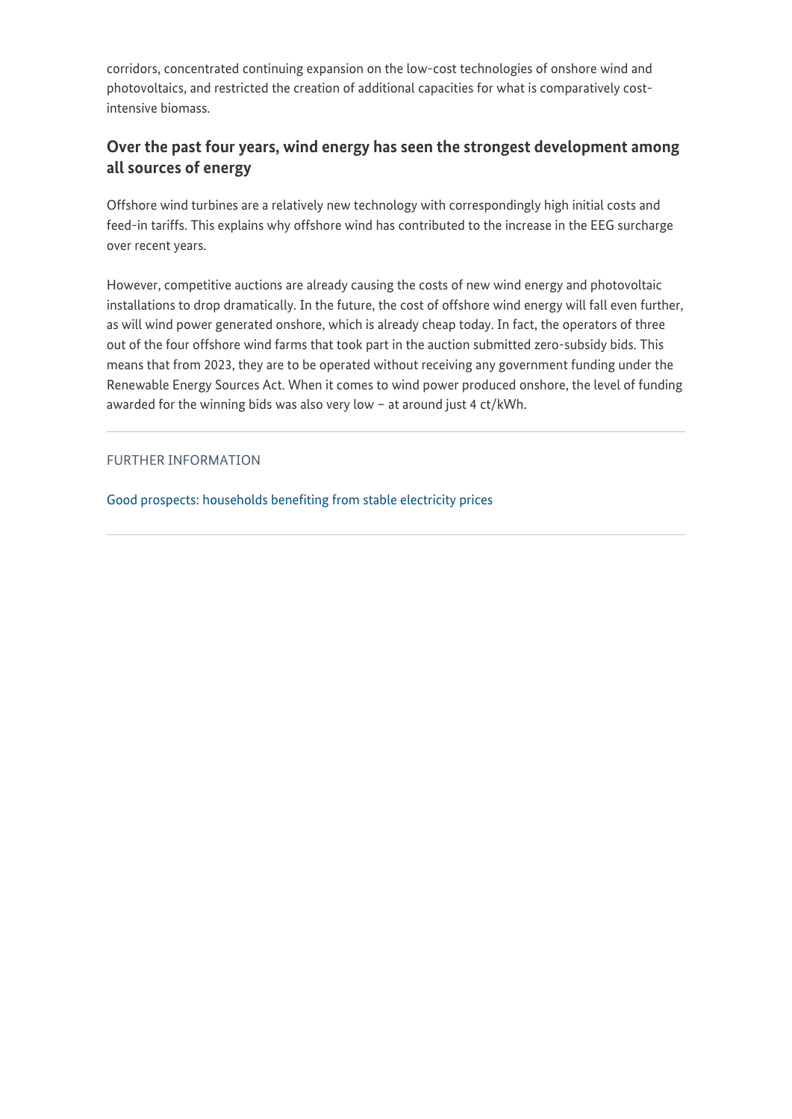corridors, concentrated continuing expansion on the low-cost technologies of onshore wind and photovoltaics, and restricted the creation of additional capacities for what is comparatively costintensive biomass.

#### **Over the past four years, wind energy has seen the strongest development among all sources of energy**

Offshore wind turbines are a relatively new technology with correspondingly high initial costs and feed-in tariffs. This explains why offshore wind has contributed to the increase in the EEG surcharge over recent years.

However, competitive auctions are already causing the costs of new wind energy and photovoltaic installations to drop dramatically. In the future, the cost of offshore wind energy will fall even further, as will wind power generated onshore, which is already cheap today. In fact, the operators of three out of the four offshore wind farms that took part in the auction submitted zero-subsidy bids. This means that from 2023, they are to be operated without receiving any government funding under the Renewable Energy Sources Act. When it comes to wind power produced onshore, the level of funding awarded for the winning bids was also very low – at around just 4 ct/kWh.

#### FURTHER INFORMATION

[Good prospects: households benefiting from stable electricity prices](https://www.bmwi-energiewende.de/EWD/Redaktion/EN/Newsletter/2017/16/Meldung/topthema.html)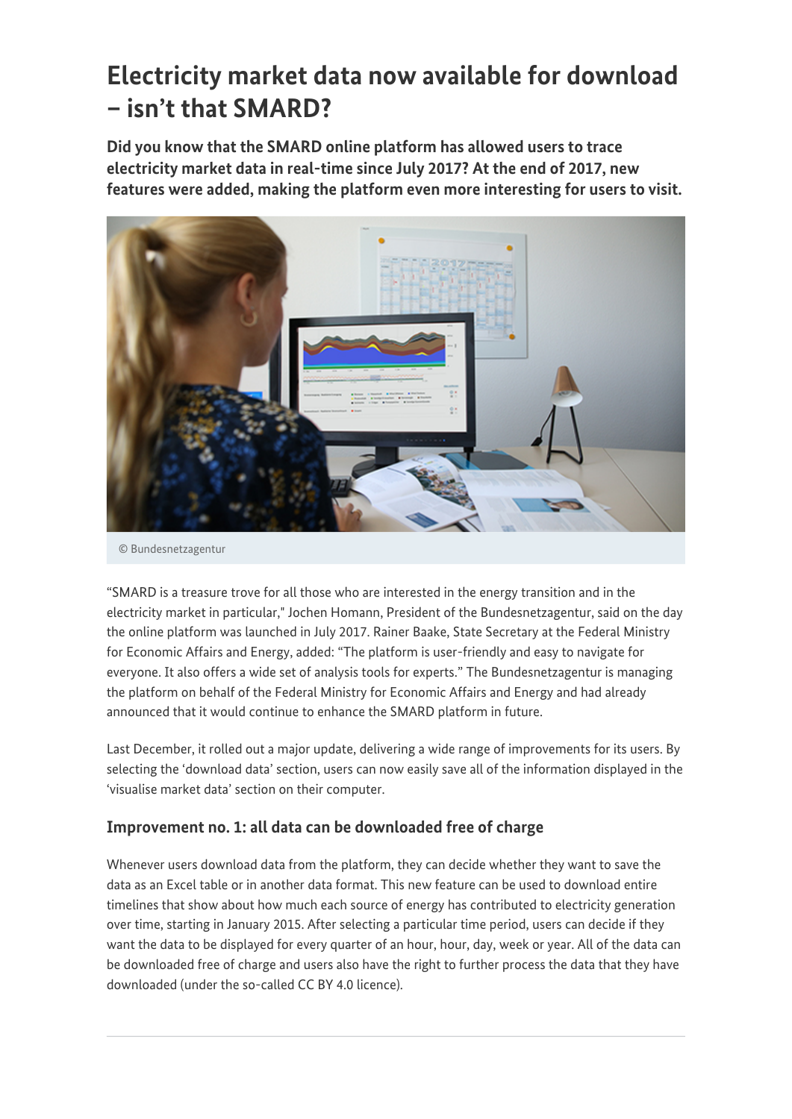## **Electricity market data now available for download – isn't that SMARD?**

**Did you know that the SMARD online platform has allowed users to trace electricity market data in real-time since July 2017? At the end of 2017, new features were added, making the platform even more interesting for users to visit.**



© Bundesnetzagentur

"SMARD is a treasure trove for all those who are interested in the energy transition and in the electricity market in particular," Jochen Homann, President of the Bundesnetzagentur, said on the day the online platform was launched in July 2017. Rainer Baake, State Secretary at the Federal Ministry for Economic Affairs and Energy, added: "The platform is user-friendly and easy to navigate for everyone. It also offers a wide set of analysis tools for experts." The Bundesnetzagentur is managing the platform on behalf of the Federal Ministry for Economic Affairs and Energy and had already announced that it would continue to enhance the SMARD platform in future.

Last December, it rolled out a major update, delivering a wide range of improvements for its users. By selecting the 'download data' section, users can now easily save all of the information displayed in the 'visualise market data' section on their computer.

#### **Improvement no. 1: all data can be downloaded free of charge**

Whenever users download data from the platform, they can decide whether they want to save the data as an Excel table or in another data format. This new feature can be used to download entire timelines that show about how much each source of energy has contributed to electricity generation over time, starting in January 2015. After selecting a particular time period, users can decide if they want the data to be displayed for every quarter of an hour, hour, day, week or year. All of the data can be downloaded free of charge and users also have the right to further process the data that they have downloaded (under the so-called CC BY 4.0 licence).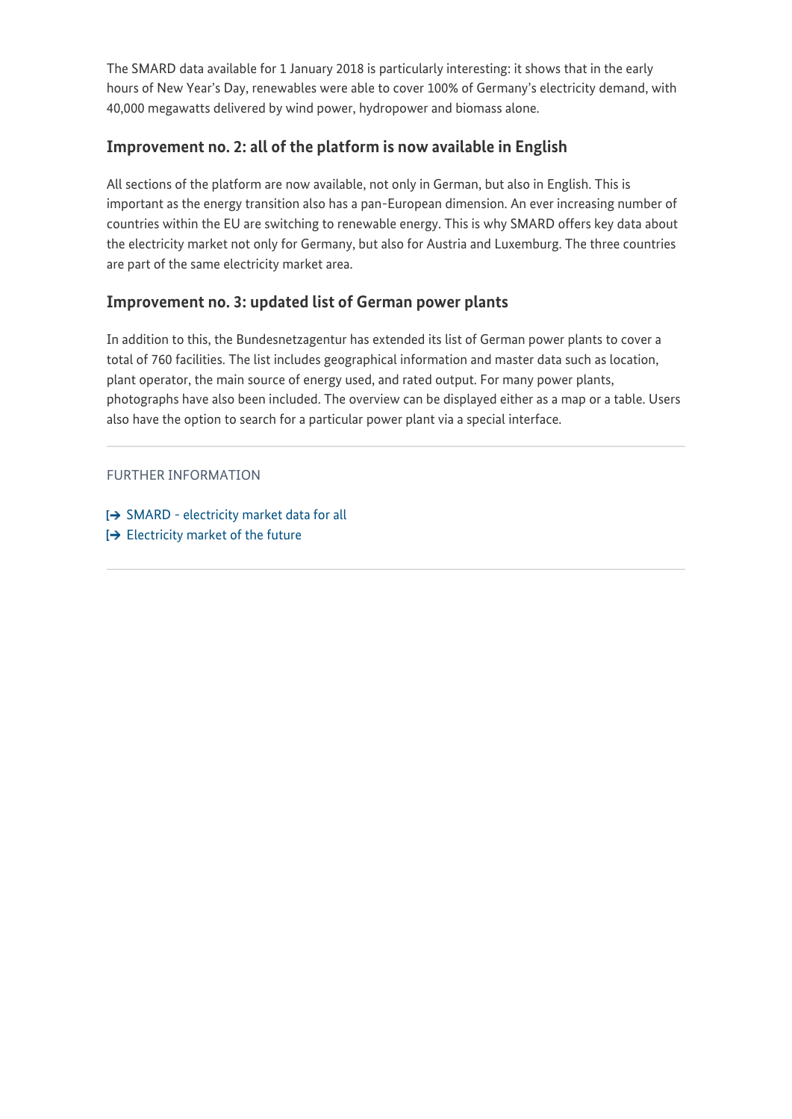The SMARD data available for 1 January 2018 is particularly interesting: it shows that in the early hours of New Year's Day, renewables were able to cover 100% of Germany's electricity demand, with 40,000 megawatts delivered by wind power, hydropower and biomass alone.

#### **Improvement no. 2: all of the platform is now available in English**

All sections of the platform are now available, not only in German, but also in English. This is important as the energy transition also has a pan-European dimension. An ever increasing number of countries within the EU are switching to renewable energy. This is why SMARD offers key data about the electricity market not only for Germany, but also for Austria and Luxemburg. The three countries are part of the same electricity market area.

#### **Improvement no. 3: updated list of German power plants**

In addition to this, the Bundesnetzagentur has extended its list of German power plants to cover a total of 760 facilities. The list includes geographical information and master data such as location, plant operator, the main source of energy used, and rated output. For many power plants, photographs have also been included. The overview can be displayed either as a map or a table. Users also have the option to search for a particular power plant via a special interface.

FURTHER INFORMATION

- $\rightarrow$  [SMARD electricity market data for all](https://www.smard.de/blueprint/servlet/page/bnetza-en/5790)
- $\rightarrow$  [Electricity market of the future](http://www.bmwi.de/EN/Topics/Energy/electricity-market-of-the-future.html)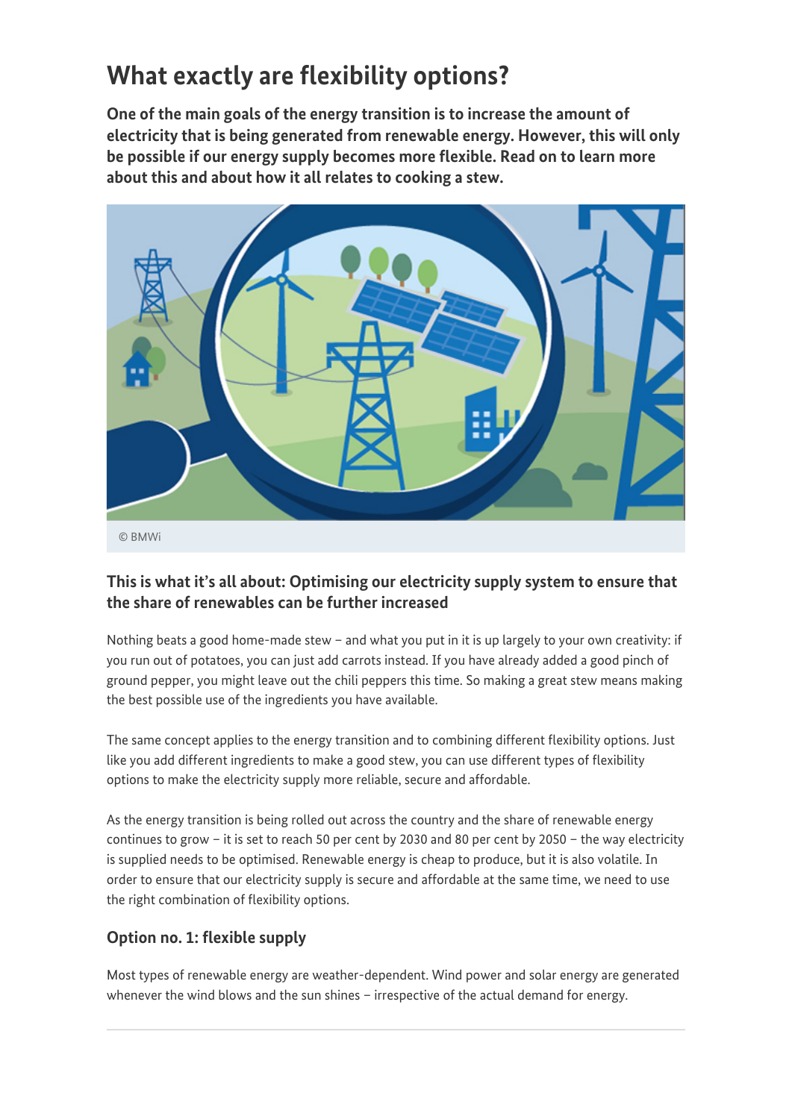## **What exactly are flexibility options?**

**One of the main goals of the energy transition is to increase the amount of electricity that is being generated from renewable energy. However, this will only be possible if our energy supply becomes more flexible. Read on to learn more about this and about how it all relates to cooking a stew.**



#### **This is what it's all about: Optimising our electricity supply system to ensure that the share of renewables can be further increased**

Nothing beats a good home-made stew – and what you put in it is up largely to your own creativity: if you run out of potatoes, you can just add carrots instead. If you have already added a good pinch of ground pepper, you might leave out the chili peppers this time. So making a great stew means making the best possible use of the ingredients you have available.

The same concept applies to the energy transition and to combining different flexibility options. Just like you add different ingredients to make a good stew, you can use different types of flexibility options to make the electricity supply more reliable, secure and affordable.

As the energy transition is being rolled out across the country and the share of renewable energy continues to grow – it is set to reach 50 per cent by 2030 and 80 per cent by 2050 – the way electricity is supplied needs to be optimised. Renewable energy is cheap to produce, but it is also volatile. In order to ensure that our electricity supply is secure and affordable at the same time, we need to use the right combination of flexibility options.

#### **Option no. 1: flexible supply**

Most types of renewable energy are weather-dependent. Wind power and solar energy are generated whenever the wind blows and the sun shines – irrespective of the actual demand for energy.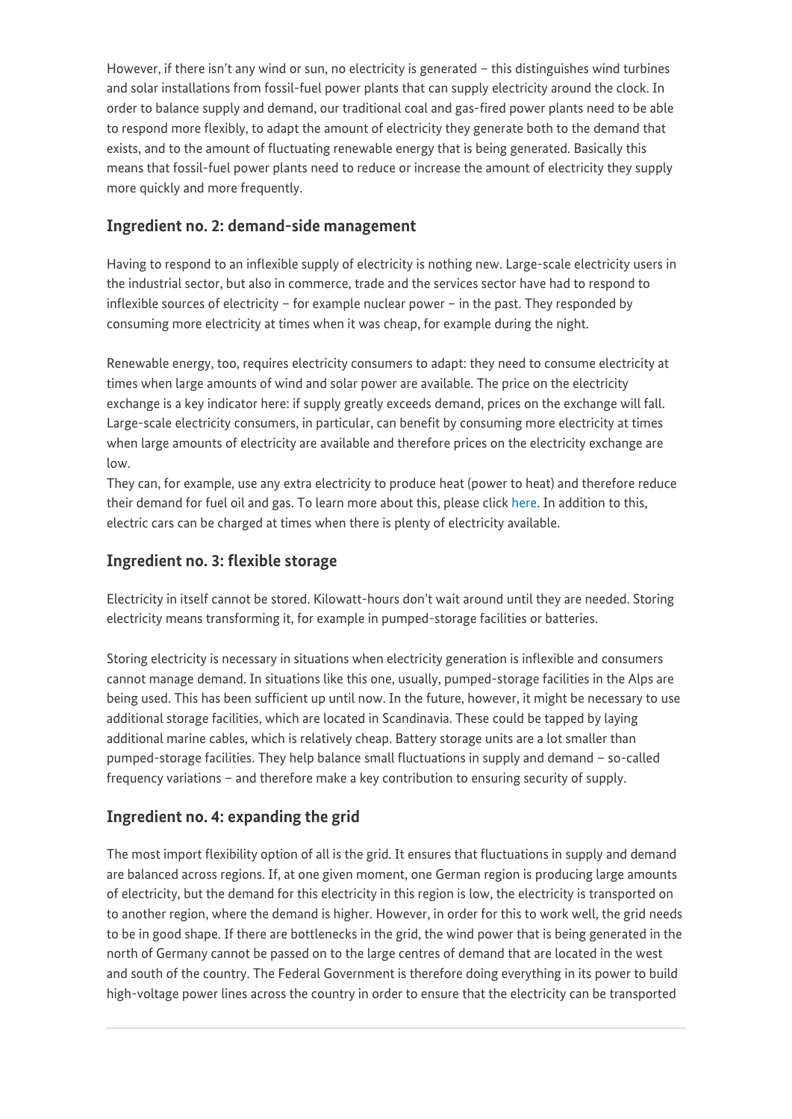However, if there isn't any wind or sun, no electricity is generated – this distinguishes wind turbines and solar installations from fossil-fuel power plants that can supply electricity around the clock. In order to balance supply and demand, our traditional coal and gas-fired power plants need to be able to respond more flexibly, to adapt the amount of electricity they generate both to the demand that exists, and to the amount of fluctuating renewable energy that is being generated. Basically this means that fossil-fuel power plants need to reduce or increase the amount of electricity they supply more quickly and more frequently.

#### **Ingredient no. 2: demand-side management**

Having to respond to an inflexible supply of electricity is nothing new. Large-scale electricity users in the industrial sector, but also in commerce, trade and the services sector have had to respond to inflexible sources of electricity – for example nuclear power – in the past. They responded by consuming more electricity at times when it was cheap, for example during the night.

Renewable energy, too, requires electricity consumers to adapt: they need to consume electricity at times when large amounts of wind and solar power are available. The price on the electricity exchange is a key indicator here: if supply greatly exceeds demand, prices on the exchange will fall. Large-scale electricity consumers, in particular, can benefit by consuming more electricity at times when large amounts of electricity are available and therefore prices on the electricity exchange are low.

They can, for example, use any extra electricity to produce heat (power to heat) and therefore reduce their demand for fuel oil and gas. To learn more about this, please click [here.](https://www.bmwi-energiewende.de/EWD/Redaktion/EN/Newsletter/2016/07/Meldung/direkt-answers.html) In addition to this, electric cars can be charged at times when there is plenty of electricity available.

#### **Ingredient no. 3: flexible storage**

Electricity in itself cannot be stored. Kilowatt-hours don't wait around until they are needed. Storing electricity means transforming it, for example in pumped-storage facilities or batteries.

Storing electricity is necessary in situations when electricity generation is inflexible and consumers cannot manage demand. In situations like this one, usually, pumped-storage facilities in the Alps are being used. This has been sufficient up until now. In the future, however, it might be necessary to use additional storage facilities, which are located in Scandinavia. These could be tapped by laying additional marine cables, which is relatively cheap. Battery storage units are a lot smaller than pumped-storage facilities. They help balance small fluctuations in supply and demand – so-called frequency variations – and therefore make a key contribution to ensuring security of supply.

#### **Ingredient no. 4: expanding the grid**

The most import flexibility option of all is the grid. It ensures that fluctuations in supply and demand are balanced across regions. If, at one given moment, one German region is producing large amounts of electricity, but the demand for this electricity in this region is low, the electricity is transported on to another region, where the demand is higher. However, in order for this to work well, the grid needs to be in good shape. If there are bottlenecks in the grid, the wind power that is being generated in the north of Germany cannot be passed on to the large centres of demand that are located in the west and south of the country. The Federal Government is therefore doing everything in its power to build high-voltage power lines across the country in order to ensure that the electricity can be transported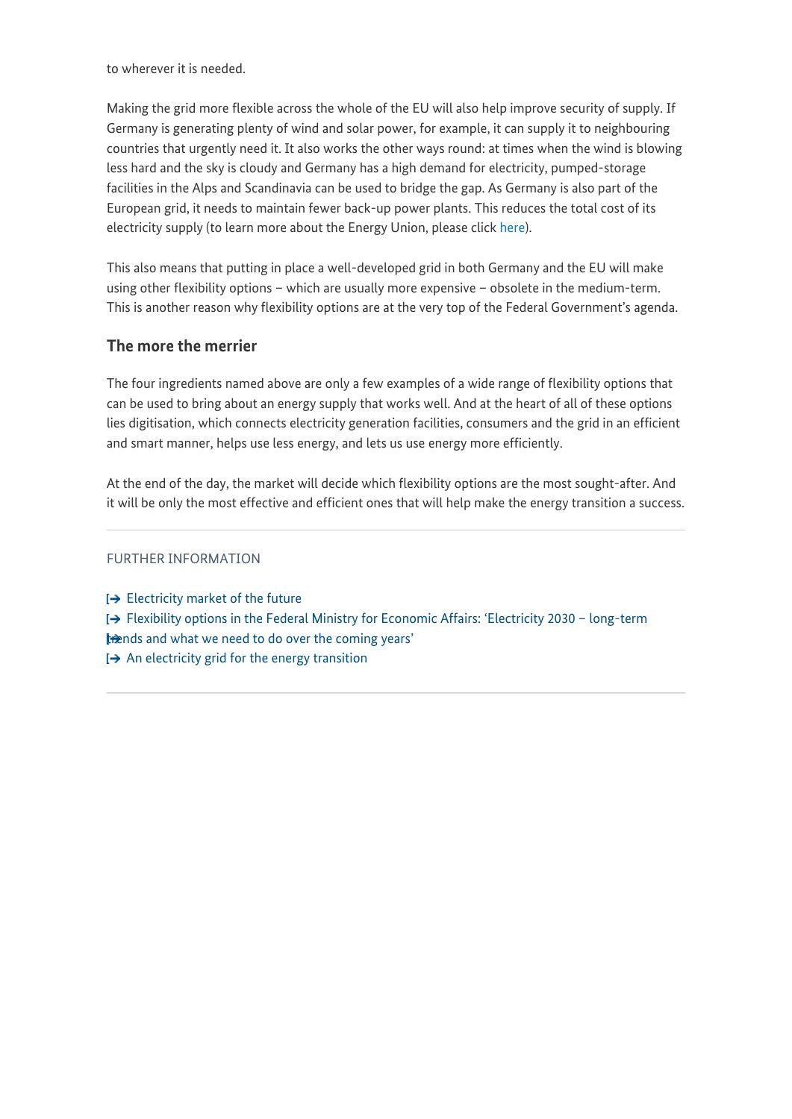to wherever it is needed.

Making the grid more flexible across the whole of the EU will also help improve security of supply. If Germany is generating plenty of wind and solar power, for example, it can supply it to neighbouring countries that urgently need it. It also works the other ways round: at times when the wind is blowing less hard and the sky is cloudy and Germany has a high demand for electricity, pumped-storage facilities in the Alps and Scandinavia can be used to bridge the gap. As Germany is also part of the European grid, it needs to maintain fewer back-up power plants. This reduces the total cost of its electricity supply (to learn more about the Energy Union, please click [here\)](https://www.bmwi-energiewende.de/EWD/Redaktion/EN/Newsletter/2017/05/Meldung/direkt-account.html).

This also means that putting in place a well-developed grid in both Germany and the EU will make using other flexibility options – which are usually more expensive – obsolete in the medium-term. This is another reason why flexibility options are at the very top of the Federal Government's agenda.

#### **The more the merrier**

The four ingredients named above are only a few examples of a wide range of flexibility options that can be used to bring about an energy supply that works well. And at the heart of all of these options lies digitisation, which connects electricity generation facilities, consumers and the grid in an efficient and smart manner, helps use less energy, and lets us use energy more efficiently.

At the end of the day, the market will decide which flexibility options are the most sought-after. And it will be only the most effective and efficient ones that will help make the energy transition a success.

#### FURTHER INFORMATION

 $\rightarrow$  [Electricity market of the future](http://www.bmwi.de/EN/Topics/Energy/electricity-market-of-the-future.html) [Flexibility options in the Federal Ministry for Economic Affairs: 'Electricity 2030 – long-term](http://www.bmwi.de/Redaktion/EN/Publikationen/discussion-paper-electricity-2030.html) [trends and what we need to do over the coming years'](http://www.bmwi.de/Redaktion/EN/Publikationen/discussion-paper-electricity-2030.html)  $\rightarrow$  [An electricity grid for the energy transition](http://www.bmwi.de/Redaktion/EN/Dossier/grids-grid-expansion.html)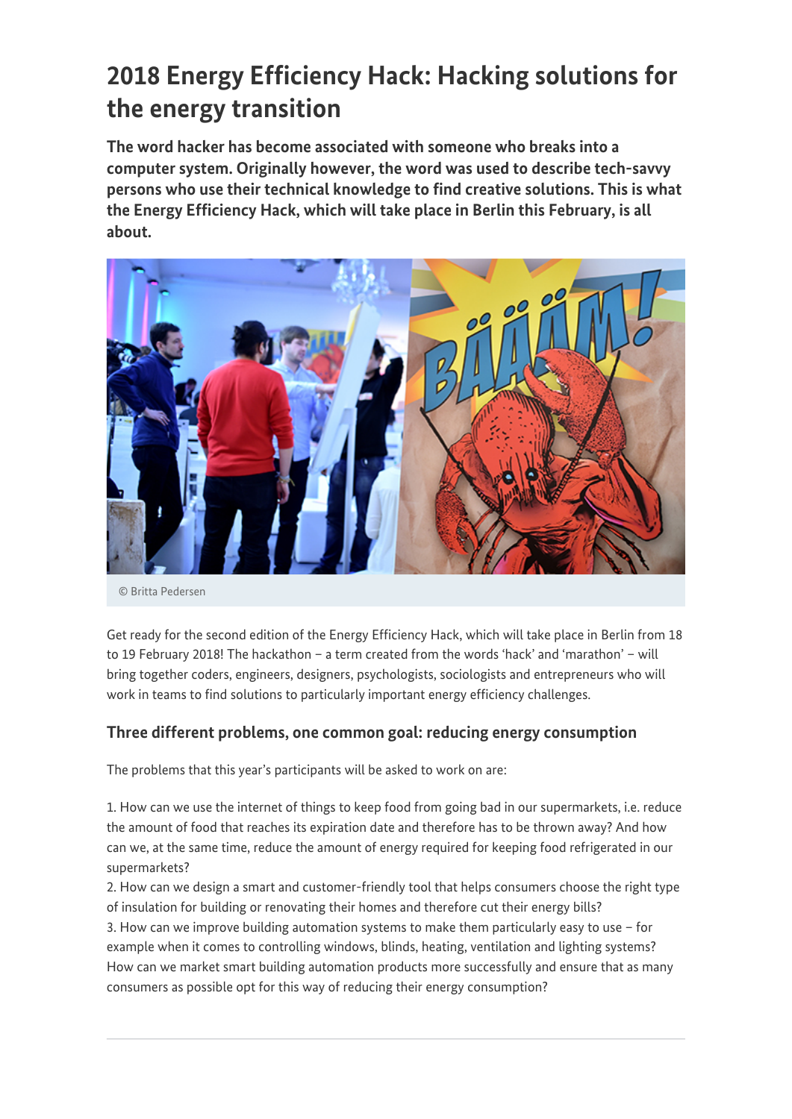### **2018 Energy Efficiency Hack: Hacking solutions for the energy transition**

**The word hacker has become associated with someone who breaks into a computer system. Originally however, the word was used to describe tech-savvy persons who use their technical knowledge to find creative solutions. This is what the Energy Efficiency Hack, which will take place in Berlin this February, is all about.**



© Britta Pedersen

Get ready for the second edition of the Energy Efficiency Hack, which will take place in Berlin from 18 to 19 February 2018! The hackathon – a term created from the words 'hack' and 'marathon' – will bring together coders, engineers, designers, psychologists, sociologists and entrepreneurs who will work in teams to find solutions to particularly important energy efficiency challenges.

#### **Three different problems, one common goal: reducing energy consumption**

The problems that this year's participants will be asked to work on are:

1. How can we use the internet of things to keep food from going bad in our supermarkets, i.e. reduce the amount of food that reaches its expiration date and therefore has to be thrown away? And how can we, at the same time, reduce the amount of energy required for keeping food refrigerated in our supermarkets?

2. How can we design a smart and customer-friendly tool that helps consumers choose the right type of insulation for building or renovating their homes and therefore cut their energy bills?

3. How can we improve building automation systems to make them particularly easy to use – for example when it comes to controlling windows, blinds, heating, ventilation and lighting systems? How can we market smart building automation products more successfully and ensure that as many consumers as possible opt for this way of reducing their energy consumption?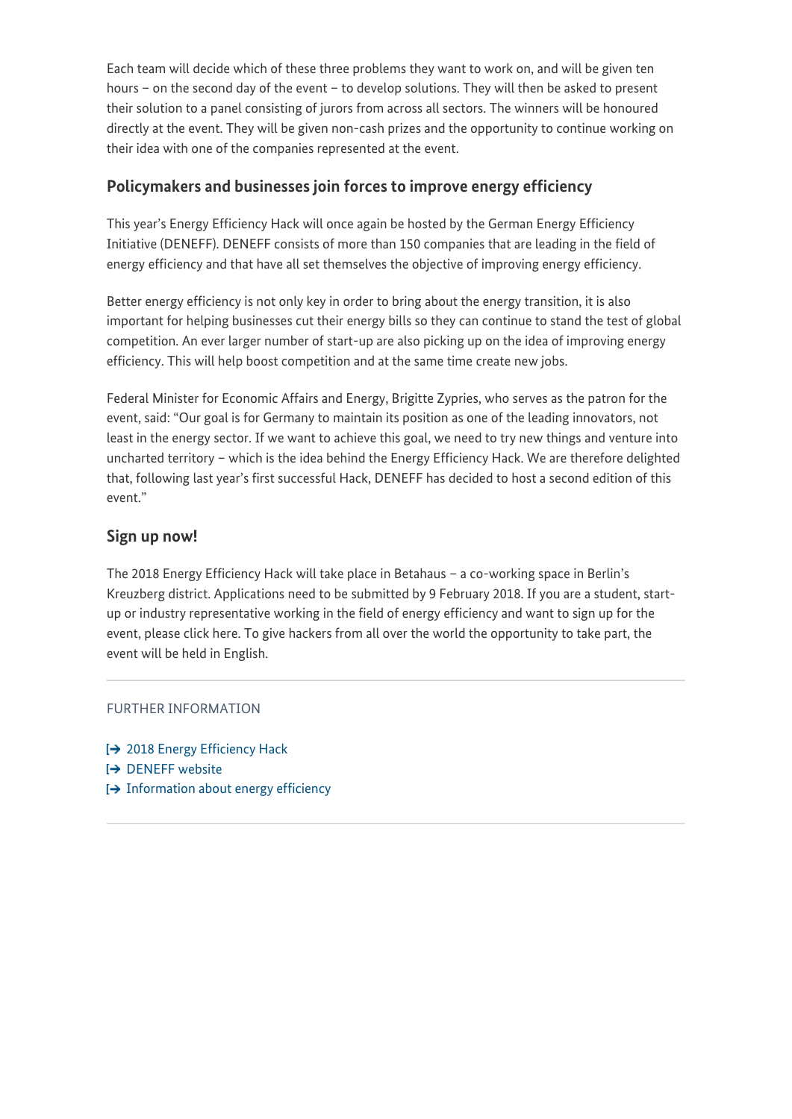Each team will decide which of these three problems they want to work on, and will be given ten hours – on the second day of the event – to develop solutions. They will then be asked to present their solution to a panel consisting of jurors from across all sectors. The winners will be honoured directly at the event. They will be given non-cash prizes and the opportunity to continue working on their idea with one of the companies represented at the event.

#### **Policymakers and businesses join forces to improve energy efficiency**

This year's Energy Efficiency Hack will once again be hosted by the German Energy Efficiency Initiative (DENEFF). DENEFF consists of more than 150 companies that are leading in the field of energy efficiency and that have all set themselves the objective of improving energy efficiency.

Better energy efficiency is not only key in order to bring about the energy transition, it is also important for helping businesses cut their energy bills so they can continue to stand the test of global competition. An ever larger number of start-up are also picking up on the idea of improving energy efficiency. This will help boost competition and at the same time create new jobs.

Federal Minister for Economic Affairs and Energy, Brigitte Zypries, who serves as the patron for the event, said: "Our goal is for Germany to maintain its position as one of the leading innovators, not least in the energy sector. If we want to achieve this goal, we need to try new things and venture into uncharted territory – which is the idea behind the Energy Efficiency Hack. We are therefore delighted that, following last year's first successful Hack, DENEFF has decided to host a second edition of this event."

#### **Sign up now!**

The 2018 Energy Efficiency Hack will take place in Betahaus – a co-working space in Berlin's Kreuzberg district. Applications need to be submitted by 9 February 2018. If you are a student, startup or industry representative working in the field of energy efficiency and want to sign up for the event, please click here. To give hackers from all over the world the opportunity to take part, the event will be held in English.

#### FURTHER INFORMATION

- **1→ [2018 Energy Efficiency Hack](https://www.eehack.com/)**
- **E>** [DENEFF website](http://www.deneff.org/fileadmin/downloads/DENEFF_english_summary.pdf)
- $\rightarrow$  [Information about energy efficiency](http://www.bmwi.de/Redaktion/EN/Dossier/energy-efficiency.html)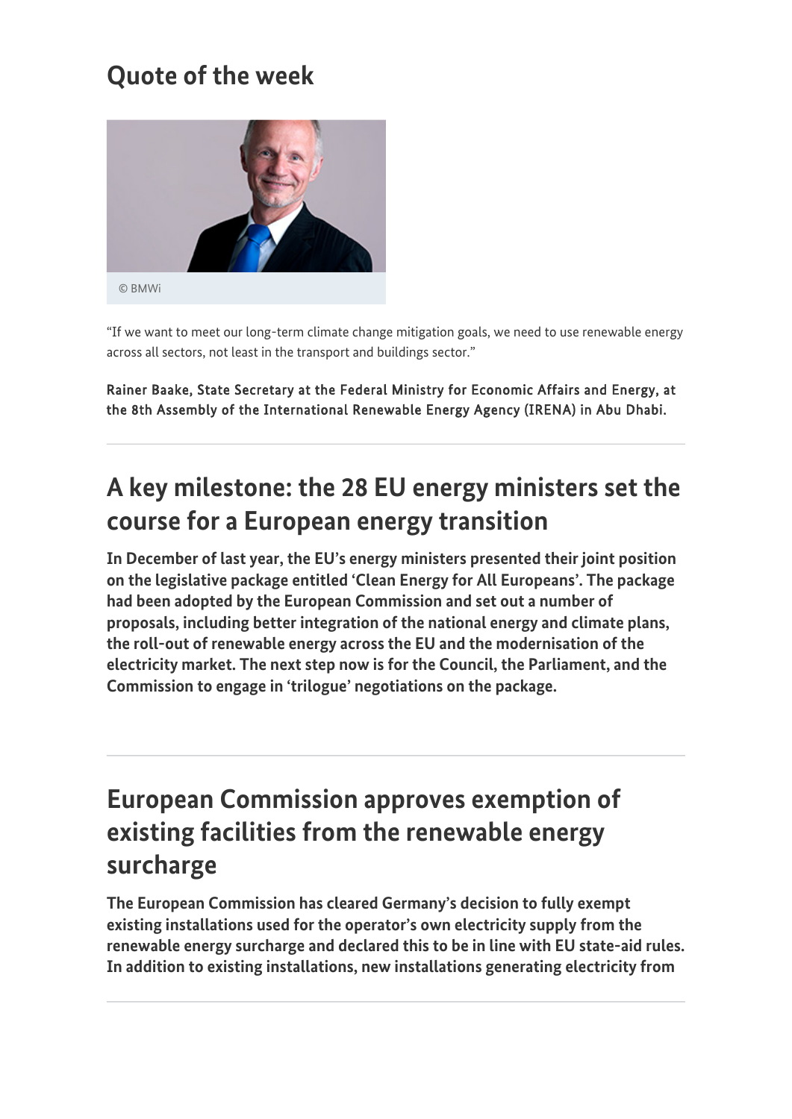### **Quote of the week**



"If we want to meet our long-term climate change mitigation goals, we need to use renewable energy across all sectors, not least in the transport and buildings sector."

Rainer Baake, State Secretary at the Federal Ministry for Economic Affairs and Energy, at the 8th Assembly of the International Renewable Energy Agency (IRENA) in Abu Dhabi.

## **A key milestone: the 28 EU energy ministers set the course for a European energy transition**

**In December of last year, the EU's energy ministers presented their joint position on the legislative package entitled 'Clean Energy for All Europeans'. The package had been adopted by the European Commission and set out a number of proposals, including better integration of the national energy and climate plans, the roll-out of renewable energy across the EU and the modernisation of the electricity market. The next step now is for the Council, the Parliament, and the Commission to engage in 'trilogue' negotiations on the package.**

### **European Commission approves exemption of existing facilities from the renewable energy surcharge**

**The European Commission has cleared Germany's decision to fully exempt existing installations used for the operator's own electricity supply from the renewable energy surcharge and declared this to be in line with EU state-aid rules. In addition to existing installations, new installations generating electricity from**